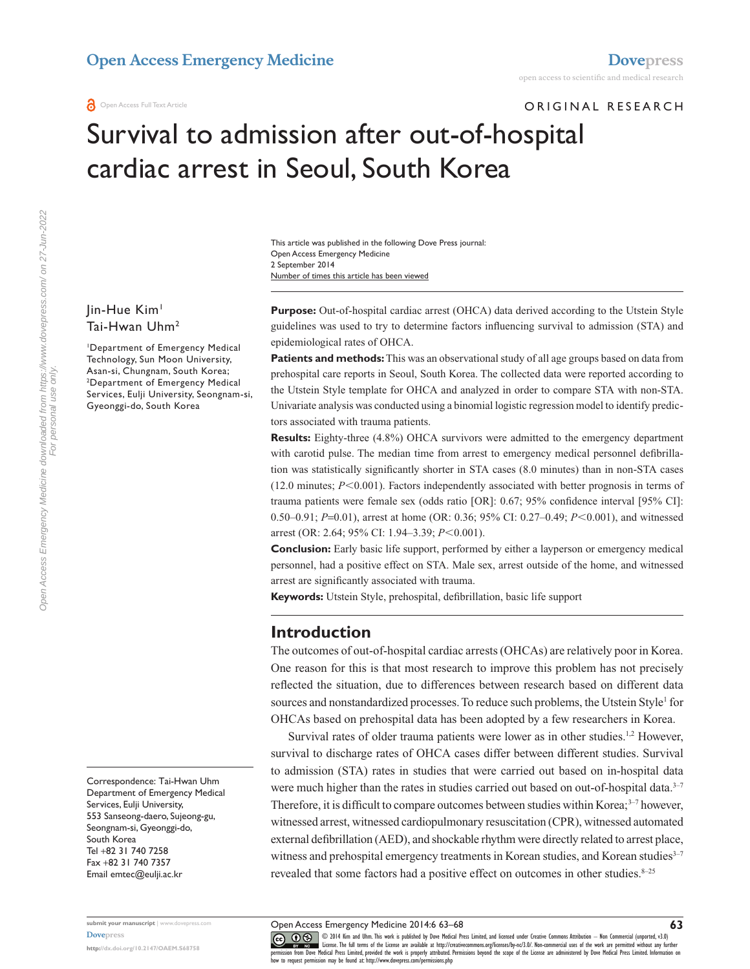ORIGINAL RESEARCH

# Survival to admission after out-of-hospital cardiac arrest in Seoul, South Korea

Number of times this article has been viewed This article was published in the following Dove Press journal: Open Access Emergency Medicine 2 September 2014

Jin-Hue Kim<sup>1</sup> Tai-Hwan Uhm2

1 Department of Emergency Medical Technology, Sun Moon University, Asan-si, Chungnam, South Korea; 2 Department of Emergency Medical Services, Eulji University, Seongnam-si, Gyeonggi-do, South Korea

Correspondence: Tai-Hwan Uhm Department of Emergency Medical Services, Eulji University, 553 Sanseong-daero, Sujeong-gu, Seongnam-si, Gyeonggi-do, South Korea Tel +82 31 740 7258 Fax +82 31 740 7357 Email [emtec@eulji.ac.kr](mailto:emtec@eulji.ac.kr)

**Purpose:** Out-of-hospital cardiac arrest (OHCA) data derived according to the Utstein Style guidelines was used to try to determine factors influencing survival to admission (STA) and epidemiological rates of OHCA.

**Patients and methods:** This was an observational study of all age groups based on data from prehospital care reports in Seoul, South Korea. The collected data were reported according to the Utstein Style template for OHCA and analyzed in order to compare STA with non-STA. Univariate analysis was conducted using a binomial logistic regression model to identify predictors associated with trauma patients.

**Results:** Eighty-three (4.8%) OHCA survivors were admitted to the emergency department with carotid pulse. The median time from arrest to emergency medical personnel defibrillation was statistically significantly shorter in STA cases (8.0 minutes) than in non-STA cases (12.0 minutes;  $P \le 0.001$ ). Factors independently associated with better prognosis in terms of trauma patients were female sex (odds ratio [OR]: 0.67; 95% confidence interval [95% CI]: 0.50–0.91; *P*=0.01), arrest at home (OR: 0.36; 95% CI: 0.27–0.49; *P*<0.001), and witnessed arrest (OR: 2.64; 95% CI: 1.94–3.39; *P*<0.001).

**Conclusion:** Early basic life support, performed by either a layperson or emergency medical personnel, had a positive effect on STA. Male sex, arrest outside of the home, and witnessed arrest are significantly associated with trauma.

**Keywords:** Utstein Style, prehospital, defibrillation, basic life support

## **Introduction**

The outcomes of out-of-hospital cardiac arrests (OHCAs) are relatively poor in Korea. One reason for this is that most research to improve this problem has not precisely reflected the situation, due to differences between research based on different data sources and nonstandardized processes. To reduce such problems, the Utstein Style<sup>1</sup> for OHCAs based on prehospital data has been adopted by a few researchers in Korea.

Survival rates of older trauma patients were lower as in other studies.<sup>1,2</sup> However, survival to discharge rates of OHCA cases differ between different studies. Survival to admission (STA) rates in studies that were carried out based on in-hospital data were much higher than the rates in studies carried out based on out-of-hospital data.<sup>3-7</sup> Therefore, it is difficult to compare outcomes between studies within Korea; $3-7$  however, witnessed arrest, witnessed cardiopulmonary resuscitation (CPR), witnessed automated external defibrillation (AED), and shockable rhythm were directly related to arrest place, witness and prehospital emergency treatments in Korean studies, and Korean studies<sup>3-7</sup> revealed that some factors had a positive effect on outcomes in other studies.<sup>8–25</sup>

Open Access Emergency Medicine 2014:6 63–68

**<http://dx.doi.org/10.2147/OAEM.S68758>**

CO ODI4 Kim and Uhm. This work is published by Dove Medical Press Limited, and licensed under Creative Commons Attribution - Non Commercial (unported, v3.0)<br> [permission from Dove M](http://www.dovepress.com/permissions.php)edical Press Limited, provided the work is how to request permission may be found at:<http://www.dovepress.com/permissions.php>

**63**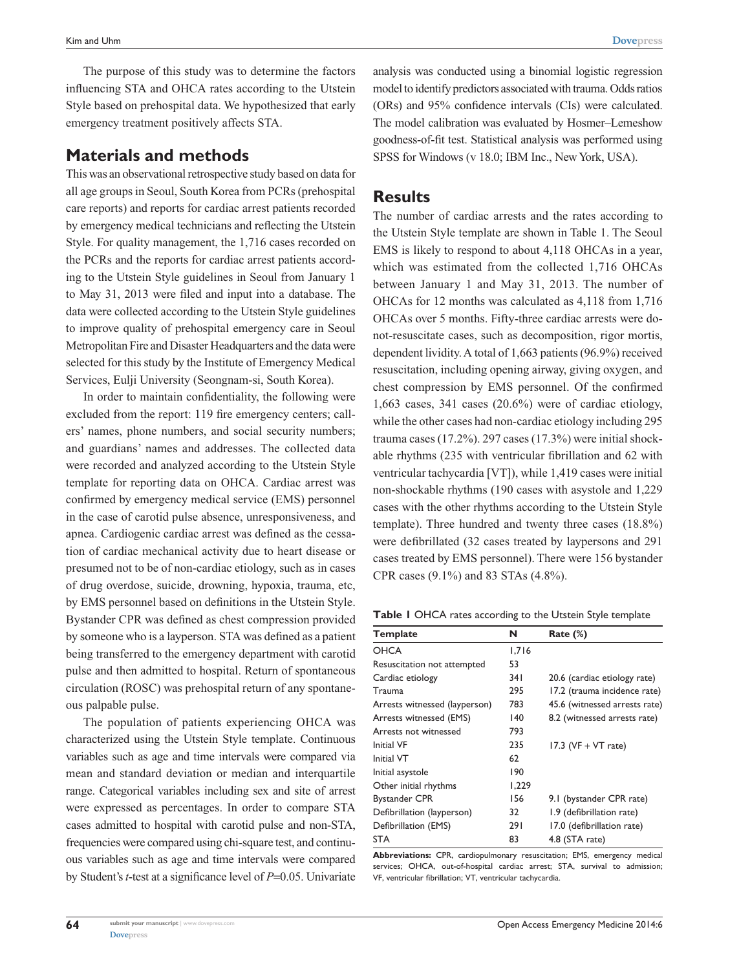The purpose of this study was to determine the factors influencing STA and OHCA rates according to the Utstein Style based on prehospital data. We hypothesized that early emergency treatment positively affects STA.

## **Materials and methods**

This was an observational retrospective study based on data for all age groups in Seoul, South Korea from PCRs (prehospital care reports) and reports for cardiac arrest patients recorded by emergency medical technicians and reflecting the Utstein Style. For quality management, the 1,716 cases recorded on the PCRs and the reports for cardiac arrest patients according to the Utstein Style guidelines in Seoul from January 1 to May 31, 2013 were filed and input into a database. The data were collected according to the Utstein Style guidelines to improve quality of prehospital emergency care in Seoul Metropolitan Fire and Disaster Headquarters and the data were selected for this study by the Institute of Emergency Medical Services, Eulji University (Seongnam-si, South Korea).

In order to maintain confidentiality, the following were excluded from the report: 119 fire emergency centers; callers' names, phone numbers, and social security numbers; and guardians' names and addresses. The collected data were recorded and analyzed according to the Utstein Style template for reporting data on OHCA. Cardiac arrest was confirmed by emergency medical service (EMS) personnel in the case of carotid pulse absence, unresponsiveness, and apnea. Cardiogenic cardiac arrest was defined as the cessation of cardiac mechanical activity due to heart disease or presumed not to be of non-cardiac etiology, such as in cases of drug overdose, suicide, drowning, hypoxia, trauma, etc, by EMS personnel based on definitions in the Utstein Style. Bystander CPR was defined as chest compression provided by someone who is a layperson. STA was defined as a patient being transferred to the emergency department with carotid pulse and then admitted to hospital. Return of spontaneous circulation (ROSC) was prehospital return of any spontaneous palpable pulse.

The population of patients experiencing OHCA was characterized using the Utstein Style template. Continuous variables such as age and time intervals were compared via mean and standard deviation or median and interquartile range. Categorical variables including sex and site of arrest were expressed as percentages. In order to compare STA cases admitted to hospital with carotid pulse and non-STA, frequencies were compared using chi-square test, and continuous variables such as age and time intervals were compared by Student's *t*-test at a significance level of *P*=0.05. Univariate analysis was conducted using a binomial logistic regression model to identify predictors associated with trauma. Odds ratios (ORs) and 95% confidence intervals (CIs) were calculated. The model calibration was evaluated by Hosmer–Lemeshow goodness-of-fit test. Statistical analysis was performed using SPSS for Windows (v 18.0; IBM Inc., New York, USA).

#### **Results**

The number of cardiac arrests and the rates according to the Utstein Style template are shown in Table 1. The Seoul EMS is likely to respond to about 4,118 OHCAs in a year, which was estimated from the collected 1,716 OHCAs between January 1 and May 31, 2013. The number of OHCAs for 12 months was calculated as 4,118 from 1,716 OHCAs over 5 months. Fifty-three cardiac arrests were donot-resuscitate cases, such as decomposition, rigor mortis, dependent lividity. A total of 1,663 patients (96.9%) received resuscitation, including opening airway, giving oxygen, and chest compression by EMS personnel. Of the confirmed 1,663 cases, 341 cases (20.6%) were of cardiac etiology, while the other cases had non-cardiac etiology including 295 trauma cases (17.2%). 297 cases (17.3%) were initial shockable rhythms (235 with ventricular fibrillation and 62 with ventricular tachycardia [VT]), while 1,419 cases were initial non-shockable rhythms (190 cases with asystole and 1,229 cases with the other rhythms according to the Utstein Style template). Three hundred and twenty three cases (18.8%) were defibrillated (32 cases treated by laypersons and 291 cases treated by EMS personnel). There were 156 bystander CPR cases (9.1%) and 83 STAs (4.8%).

**Table 1** OHCA rates according to the Utstein Style template

| <b>Template</b>               | N     | Rate $(\%)$                   |
|-------------------------------|-------|-------------------------------|
| <b>OHCA</b>                   | 1,716 |                               |
| Resuscitation not attempted   | 53    |                               |
| Cardiac etiology              | 34 I  | 20.6 (cardiac etiology rate)  |
| Trauma                        | 295   | 17.2 (trauma incidence rate)  |
| Arrests witnessed (layperson) | 783   | 45.6 (witnessed arrests rate) |
| Arrests witnessed (EMS)       | 140   | 8.2 (witnessed arrests rate)  |
| Arrests not witnessed         | 793   |                               |
| <b>Initial VF</b>             | 235   | 17.3 ( $VF + VT$ rate)        |
| Initial VT                    | 62    |                               |
| Initial asystole              | 190   |                               |
| Other initial rhythms         | 1,229 |                               |
| Bystander CPR                 | 156   | 9.1 (bystander CPR rate)      |
| Defibrillation (layperson)    | 32    | 1.9 (defibrillation rate)     |
| Defibrillation (EMS)          | 291   | 17.0 (defibrillation rate)    |
| <b>STA</b>                    | 83    | 4.8 (STA rate)                |

**Abbreviations:** CPR, cardiopulmonary resuscitation; EMS, emergency medical services; OHCA, out-of-hospital cardiac arrest; STA, survival to admission; VF, ventricular fibrillation; VT, ventricular tachycardia.

**64**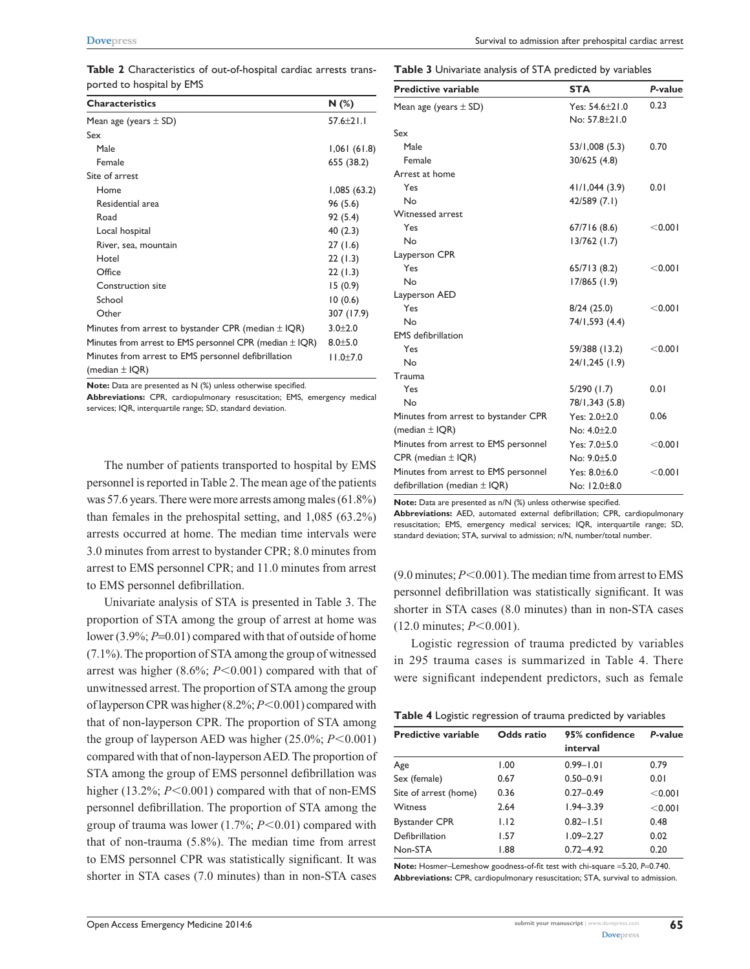**Table 2** Characteristics of out-of-hospital cardiac arrests transported to hospital by EMS

| <b>Characteristics</b>                                                    | N(%)            |  |
|---------------------------------------------------------------------------|-----------------|--|
| Mean age (years $\pm$ SD)                                                 | $57.6 \pm 21.1$ |  |
| Sex                                                                       |                 |  |
| Male                                                                      | 1,061(61.8)     |  |
| Female                                                                    | 655 (38.2)      |  |
| Site of arrest                                                            |                 |  |
| Home                                                                      | 1,085(63.2)     |  |
| Residential area                                                          | 96(5.6)         |  |
| Road                                                                      | 92(5.4)         |  |
| Local hospital                                                            | 40(2.3)         |  |
| River, sea, mountain                                                      | 27(1.6)         |  |
| Hotel                                                                     | 22(1.3)         |  |
| Office                                                                    | 22(1.3)         |  |
| Construction site                                                         | 15(0.9)         |  |
| School                                                                    | 10(0.6)         |  |
| Other                                                                     | 307 (17.9)      |  |
| Minutes from arrest to bystander CPR (median $\pm$ IQR)                   | $3.0 + 2.0$     |  |
| Minutes from arrest to EMS personnel CPR (median $\pm$ IQR)               | $8.0 + 5.0$     |  |
| Minutes from arrest to EMS personnel defibrillation<br>(median $\pm$ IQR) | $11.0 \pm 7.0$  |  |

**Note:** Data are presented as N (%) unless otherwise specified.

**Abbreviations:** CPR, cardiopulmonary resuscitation; EMS, emergency medical services; IQR, interquartile range; SD, standard deviation.

The number of patients transported to hospital by EMS personnel is reported in Table 2. The mean age of the patients was 57.6 years. There were more arrests among males (61.8%) than females in the prehospital setting, and 1,085 (63.2%) arrests occurred at home. The median time intervals were 3.0 minutes from arrest to bystander CPR; 8.0 minutes from arrest to EMS personnel CPR; and 11.0 minutes from arrest to EMS personnel defibrillation.

Univariate analysis of STA is presented in Table 3. The proportion of STA among the group of arrest at home was lower (3.9%; *P*=0.01) compared with that of outside of home (7.1%). The proportion of STA among the group of witnessed arrest was higher  $(8.6\%; P<0.001)$  compared with that of unwitnessed arrest. The proportion of STA among the group of layperson CPR was higher (8.2%;  $P$ <0.001) compared with that of non-layperson CPR. The proportion of STA among the group of layperson AED was higher  $(25.0\%; P<0.001)$ compared with that of non-layperson AED. The proportion of STA among the group of EMS personnel defibrillation was higher  $(13.2\%; P<0.001)$  compared with that of non-EMS personnel defibrillation. The proportion of STA among the group of trauma was lower  $(1.7\%; P<0.01)$  compared with that of non-trauma (5.8%). The median time from arrest to EMS personnel CPR was statistically significant. It was shorter in STA cases (7.0 minutes) than in non-STA cases

| ${\sf Table~3}$ Univariate analysis of STA predicted by variables |  |  |  |
|-------------------------------------------------------------------|--|--|--|
|-------------------------------------------------------------------|--|--|--|

| <b>Predictive variable</b>           | <b>STA</b>         | P-value |
|--------------------------------------|--------------------|---------|
| Mean age (years $\pm$ SD)            | Yes: 54.6±21.0     | 0.23    |
|                                      | No: 57.8±21.0      |         |
| Sex                                  |                    |         |
| Male                                 | 53/1,008 (5.3)     | 0.70    |
| Female                               | 30/625 (4.8)       |         |
| Arrest at home                       |                    |         |
| Yes                                  | 41/1,044 (3.9)     | 0.01    |
| <b>No</b>                            | 42/589 (7.1)       |         |
| Witnessed arrest                     |                    |         |
| Yes                                  | 67/716 (8.6)       | < 0.001 |
| <b>No</b>                            | 13/762(1.7)        |         |
| Layperson CPR                        |                    |         |
| Yes                                  | 65/713(8.2)        | < 0.001 |
| No                                   | $17/865$ (1.9)     |         |
| Layperson AED                        |                    |         |
| Yes                                  | 8/24 (25.0)        | < 0.001 |
| <b>No</b>                            | 74/1,593 (4.4)     |         |
| <b>EMS</b> defibrillation            |                    |         |
| Yes                                  | 59/388 (13.2)      | < 0.001 |
| <b>No</b>                            | 24/1,245 (1.9)     |         |
| Trauma                               |                    |         |
| Yes                                  | 5/290(1.7)         | 0.01    |
| <b>No</b>                            | 78/1,343 (5.8)     |         |
| Minutes from arrest to bystander CPR | Yes: $2.0 + 2.0$   | 0.06    |
| (median $\pm$ IQR)                   | No: $4.0 + 2.0$    |         |
| Minutes from arrest to EMS personnel | Yes: $7.0 + 5.0$   | < 0.001 |
| CPR (median $\pm$ IQR)               | No: 9.0±5.0        |         |
| Minutes from arrest to EMS personnel | Yes: $8.0 \pm 6.0$ | < 0.001 |
| defibrillation (median $\pm$ IQR)    | No: 12.0±8.0       |         |

**Note:** Data are presented as n/N (%) unless otherwise specified.

**Abbreviations:** AED, automated external defibrillation; CPR, cardiopulmonary resuscitation; EMS, emergency medical services; IQR, interquartile range; SD, standard deviation; STA, survival to admission; n/N, number/total number.

 $(9.0 \text{ minutes}; P<0.001)$ . The median time from arrest to EMS personnel defibrillation was statistically significant. It was shorter in STA cases (8.0 minutes) than in non-STA cases  $(12.0 \text{ minutes}; P \leq 0.001).$ 

Logistic regression of trauma predicted by variables in 295 trauma cases is summarized in Table 4. There were significant independent predictors, such as female

| Table 4 Logistic regression of trauma predicted by variables |  |  |
|--------------------------------------------------------------|--|--|
|--------------------------------------------------------------|--|--|

| <b>Predictive variable</b> | Odds ratio | 95% confidence | P-value |
|----------------------------|------------|----------------|---------|
|                            |            | interval       |         |
| Age                        | 1.00       | $0.99 - 1.01$  | 0.79    |
| Sex (female)               | 0.67       | $0.50 - 0.91$  | 0.01    |
| Site of arrest (home)      | 0.36       | $0.27 - 0.49$  | < 0.001 |
| Witness                    | 2.64       | $1.94 - 3.39$  | < 0.001 |
| <b>Bystander CPR</b>       | 1.12       | $0.82 - 1.51$  | 0.48    |
| Defibrillation             | 1.57       | $1.09 - 2.27$  | 0.02    |
| Non-STA                    | 1.88       | $0.72 - 4.92$  | 0.20    |

**Note:** Hosmer–Lemeshow goodness-of-fit test with chi-square =5.20, *P*=0.740. **Abbreviations:** CPR, cardiopulmonary resuscitation; STA, survival to admission.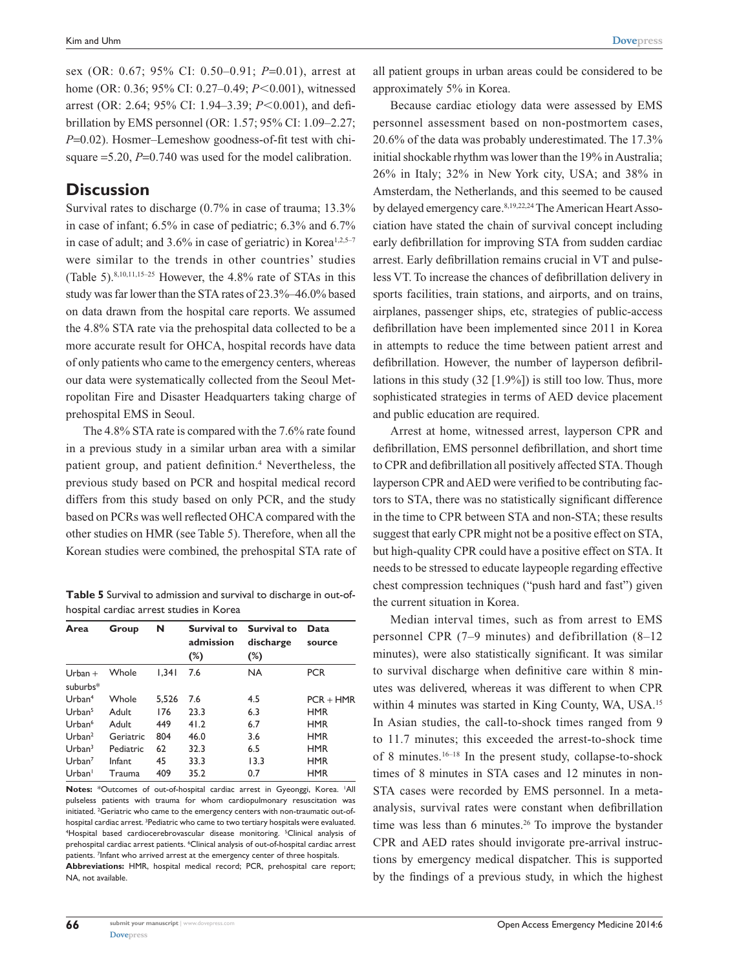sex (OR: 0.67; 95% CI: 0.50–0.91; *P*=0.01), arrest at home (OR: 0.36; 95% CI: 0.27–0.49; *P*<0.001), witnessed arrest (OR: 2.64; 95% CI: 1.94–3.39; *P*<0.001), and defibrillation by EMS personnel (OR: 1.57; 95% CI: 1.09–2.27; *P*=0.02). Hosmer–Lemeshow goodness-of-fit test with chisquare =5.20, *P*=0.740 was used for the model calibration.

# **Discussion**

Survival rates to discharge (0.7% in case of trauma; 13.3% in case of infant; 6.5% in case of pediatric; 6.3% and 6.7% in case of adult; and  $3.6\%$  in case of geriatric) in Korea<sup>1,2,5-7</sup> were similar to the trends in other countries' studies (Table 5).8,10,11,15–25 However, the 4.8% rate of STAs in this study was far lower than the STA rates of 23.3%–46.0% based on data drawn from the hospital care reports. We assumed the 4.8% STA rate via the prehospital data collected to be a more accurate result for OHCA, hospital records have data of only patients who came to the emergency centers, whereas our data were systematically collected from the Seoul Metropolitan Fire and Disaster Headquarters taking charge of prehospital EMS in Seoul.

The 4.8% STA rate is compared with the 7.6% rate found in a previous study in a similar urban area with a similar patient group, and patient definition.4 Nevertheless, the previous study based on PCR and hospital medical record differs from this study based on only PCR, and the study based on PCRs was well reflected OHCA compared with the other studies on HMR (see Table 5). Therefore, when all the Korean studies were combined, the prehospital STA rate of

**Table 5** Survival to admission and survival to discharge in out-ofhospital cardiac arrest studies in Korea

| Area                  | Group        | N     | Survival to<br>admission<br>$(\%)$ | Survival to<br>discharge<br>$(\%)$ | Data<br>source |
|-----------------------|--------------|-------|------------------------------------|------------------------------------|----------------|
| $Urban +$<br>suburbs* | Whole        | 1.341 | 7.6                                | NA.                                | <b>PCR</b>     |
| Urban <sup>4</sup>    | Whole        | 5,526 | 7.6                                | 4.5                                | $PCR + HMR$    |
| $U$ rhan <sup>5</sup> | <b>Adult</b> | 176   | 23.3                               | 6.3                                | <b>HMR</b>     |
| Urban <sup>6</sup>    | Adult        | 449   | 41.2                               | 6.7                                | <b>HMR</b>     |
| Urban <sup>2</sup>    | Geriatric    | 804   | 46.0                               | 3.6                                | <b>HMR</b>     |
| Urban <sup>3</sup>    | Pediatric    | 62    | 32.3                               | 6.5                                | <b>HMR</b>     |
| Urban <sup>7</sup>    | Infant       | 45    | 33.3                               | 13.3                               | <b>HMR</b>     |
| Urban <sup>1</sup>    | Trauma       | 409   | 35.2                               | 0.7                                | <b>HMR</b>     |

Notes: \*Outcomes of out-of-hospital cardiac arrest in Gyeonggi, Korea. <sup>1</sup>All pulseless patients with trauma for whom cardiopulmonary resuscitation was initiated. <sup>2</sup> Geriatric who came to the emergency centers with non-traumatic out-ofhospital cardiac arrest. <sup>3</sup>Pediatric who came to two tertiary hospitals were evaluated.<br><sup>4</sup>Hospital based cardiocerebrovascular disease monitoring <sup>5</sup>Clinical analysis of Hospital based cardiocerebrovascular disease monitoring. <sup>5</sup>Clinical analysis of prehospital cardiac arrest patients. <sup>6</sup>Clinical analysis of out-of-hospital cardiac arrest patients. <sup>7</sup>Infant who arrived arrest at the emergency center of three hospitals. **Abbreviations:** HMR, hospital medical record; PCR, prehospital care report; NA, not available.

all patient groups in urban areas could be considered to be approximately 5% in Korea.

Because cardiac etiology data were assessed by EMS personnel assessment based on non-postmortem cases, 20.6% of the data was probably underestimated. The 17.3% initial shockable rhythm was lower than the 19% in Australia; 26% in Italy; 32% in New York city, USA; and 38% in Amsterdam, the Netherlands, and this seemed to be caused by delayed emergency care.<sup>8,19,22,24</sup> The American Heart Association have stated the chain of survival concept including early defibrillation for improving STA from sudden cardiac arrest. Early defibrillation remains crucial in VT and pulseless VT. To increase the chances of defibrillation delivery in sports facilities, train stations, and airports, and on trains, airplanes, passenger ships, etc, strategies of public-access defibrillation have been implemented since 2011 in Korea in attempts to reduce the time between patient arrest and defibrillation. However, the number of layperson defibrillations in this study (32 [1.9%]) is still too low. Thus, more sophisticated strategies in terms of AED device placement and public education are required.

Arrest at home, witnessed arrest, layperson CPR and defibrillation, EMS personnel defibrillation, and short time to CPR and defibrillation all positively affected STA. Though layperson CPR and AED were verified to be contributing factors to STA, there was no statistically significant difference in the time to CPR between STA and non-STA; these results suggest that early CPR might not be a positive effect on STA, but high-quality CPR could have a positive effect on STA. It needs to be stressed to educate laypeople regarding effective chest compression techniques ("push hard and fast") given the current situation in Korea.

Median interval times, such as from arrest to EMS personnel CPR (7–9 minutes) and defibrillation (8–12 minutes), were also statistically significant. It was similar to survival discharge when definitive care within 8 minutes was delivered, whereas it was different to when CPR within 4 minutes was started in King County, WA, USA.15 In Asian studies, the call-to-shock times ranged from 9 to 11.7 minutes; this exceeded the arrest-to-shock time of 8 minutes. $16-18$  In the present study, collapse-to-shock times of 8 minutes in STA cases and 12 minutes in non-STA cases were recorded by EMS personnel. In a metaanalysis, survival rates were constant when defibrillation time was less than 6 minutes.<sup>26</sup> To improve the bystander CPR and AED rates should invigorate pre-arrival instructions by emergency medical dispatcher. This is supported by the findings of a previous study, in which the highest

**66**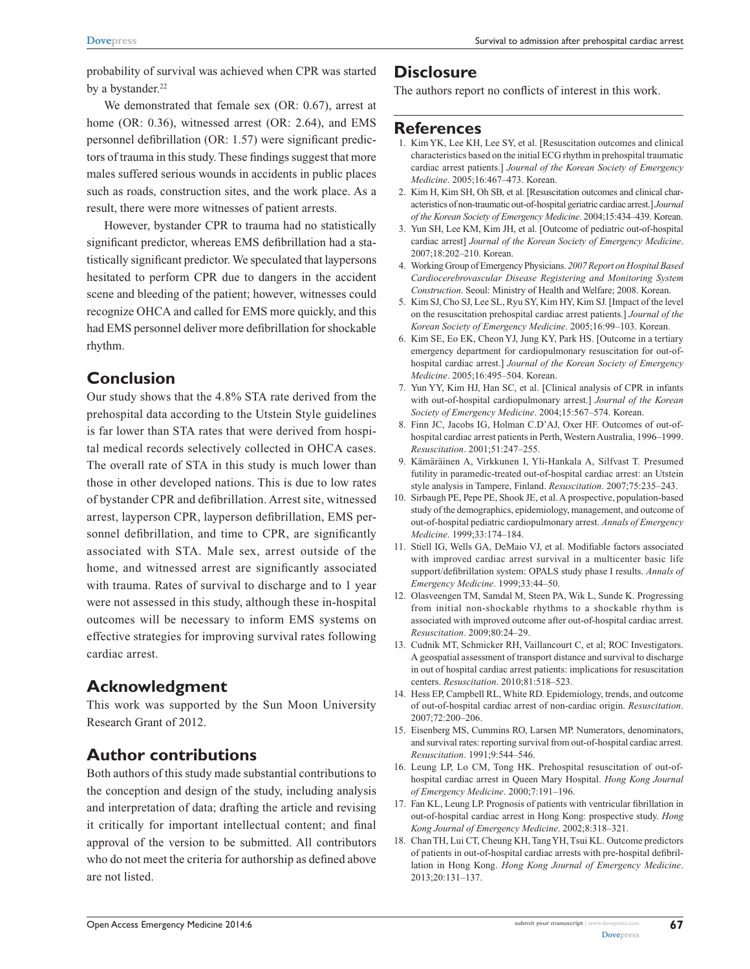probability of survival was achieved when CPR was started by a bystander.<sup>22</sup>

We demonstrated that female sex (OR: 0.67), arrest at home (OR: 0.36), witnessed arrest (OR: 2.64), and EMS personnel defibrillation (OR: 1.57) were significant predictors of trauma in this study. These findings suggest that more males suffered serious wounds in accidents in public places such as roads, construction sites, and the work place. As a result, there were more witnesses of patient arrests.

However, bystander CPR to trauma had no statistically significant predictor, whereas EMS defibrillation had a statistically significant predictor. We speculated that laypersons hesitated to perform CPR due to dangers in the accident scene and bleeding of the patient; however, witnesses could recognize OHCA and called for EMS more quickly, and this had EMS personnel deliver more defibrillation for shockable rhythm.

# **Conclusion**

Our study shows that the 4.8% STA rate derived from the prehospital data according to the Utstein Style guidelines is far lower than STA rates that were derived from hospital medical records selectively collected in OHCA cases. The overall rate of STA in this study is much lower than those in other developed nations. This is due to low rates of bystander CPR and defibrillation. Arrest site, witnessed arrest, layperson CPR, layperson defibrillation, EMS personnel defibrillation, and time to CPR, are significantly associated with STA. Male sex, arrest outside of the home, and witnessed arrest are significantly associated with trauma. Rates of survival to discharge and to 1 year were not assessed in this study, although these in-hospital outcomes will be necessary to inform EMS systems on effective strategies for improving survival rates following cardiac arrest.

# **Acknowledgment**

This work was supported by the Sun Moon University Research Grant of 2012.

# **Author contributions**

Both authors of this study made substantial contributions to the conception and design of the study, including analysis and interpretation of data; drafting the article and revising it critically for important intellectual content; and final approval of the version to be submitted. All contributors who do not meet the criteria for authorship as defined above are not listed.

## **Disclosure**

The authors report no conflicts of interest in this work.

# **References**

- 1. Kim YK, Lee KH, Lee SY, et al. [Resuscitation outcomes and clinical characteristics based on the initial ECG rhythm in prehospital traumatic cardiac arrest patients.] *Journal of the Korean Society of Emergency Medicine*. 2005;16:467–473. Korean.
- 2. Kim H, Kim SH, Oh SB, et al. [Resuscitation outcomes and clinical characteristics of non-traumatic out-of-hospital geriatric cardiac arrest.] *Journal of the Korean Society of Emergency Medicine*. 2004;15:434–439. Korean.
- 3. Yun SH, Lee KM, Kim JH, et al. [Outcome of pediatric out-of-hospital cardiac arrest] *Journal of the Korean Society of Emergency Medicine*. 2007;18:202–210. Korean.
- 4. Working Group of Emergency Physicians. *2007 Report on Hospital Based Cardiocerebrovascular Disease Registering and Monitoring System Construction*. Seoul: Ministry of Health and Welfare; 2008. Korean.
- 5. Kim SJ, Cho SJ, Lee SL, Ryu SY, Kim HY, Kim SJ. [Impact of the level on the resuscitation prehospital cardiac arrest patients.] *Journal of the Korean Society of Emergency Medicine*. 2005;16:99–103. Korean.
- 6. Kim SE, Eo EK, Cheon YJ, Jung KY, Park HS. [Outcome in a tertiary emergency department for cardiopulmonary resuscitation for out-ofhospital cardiac arrest.] *Journal of the Korean Society of Emergency Medicine*. 2005;16:495–504. Korean.
- 7. Yun YY, Kim HJ, Han SC, et al. [Clinical analysis of CPR in infants with out-of-hospital cardiopulmonary arrest.] *Journal of the Korean Society of Emergency Medicine*. 2004;15:567–574. Korean.
- 8. Finn JC, Jacobs IG, Holman C.D'AJ, Oxer HF. Outcomes of out-ofhospital cardiac arrest patients in Perth, Western Australia, 1996–1999. *Resuscitation*. 2001;51:247–255.
- 9. Kämäräinen A, Virkkunen I, Yli-Hankala A, Silfvast T. Presumed futility in paramedic-treated out-of-hospital cardiac arrest: an Utstein style analysis in Tampere, Finland. *Resuscitation*. 2007;75:235–243.
- 10. Sirbaugh PE, Pepe PE, Shook JE, et al. A prospective, population-based study of the demographics, epidemiology, management, and outcome of out-of-hospital pediatric cardiopulmonary arrest. *Annals of Emergency Medicine*. 1999;33:174–184.
- 11. Stiell IG, Wells GA, DeMaio VJ, et al. Modifiable factors associated with improved cardiac arrest survival in a multicenter basic life support/defibrillation system: OPALS study phase I results. *Annals of Emergency Medicine*. 1999;33:44–50.
- 12. Olasveengen TM, Samdal M, Steen PA, Wik L, Sunde K. Progressing from initial non-shockable rhythms to a shockable rhythm is associated with improved outcome after out-of-hospital cardiac arrest. *Resuscitation*. 2009;80:24–29.
- 13. Cudnik MT, Schmicker RH, Vaillancourt C, et al; ROC Investigators. A geospatial assessment of transport distance and survival to discharge in out of hospital cardiac arrest patients: implications for resuscitation centers. *Resuscitation*. 2010;81:518–523.
- 14. Hess EP, Campbell RL, White RD. Epidemiology, trends, and outcome of out-of-hospital cardiac arrest of non-cardiac origin. *Resuscitation*. 2007;72:200–206.
- 15. Eisenberg MS, Cummins RO, Larsen MP. Numerators, denominators, and survival rates: reporting survival from out-of-hospital cardiac arrest. *Resuscitation*. 1991;9:544–546.
- 16. Leung LP, Lo CM, Tong HK. Prehospital resuscitation of out-ofhospital cardiac arrest in Queen Mary Hospital. *Hong Kong Journal of Emergency Medicine*. 2000;7:191–196.
- 17. Fan KL, Leung LP. Prognosis of patients with ventricular fibrillation in out-of-hospital cardiac arrest in Hong Kong: prospective study. *Hong Kong Journal of Emergency Medicine*. 2002;8:318–321.
- 18. Chan TH, Lui CT, Cheung KH, Tang YH, Tsui KL. Outcome predictors of patients in out-of-hospital cardiac arrests with pre-hospital defibrillation in Hong Kong. *Hong Kong Journal of Emergency Medicine*. 2013;20:131–137.